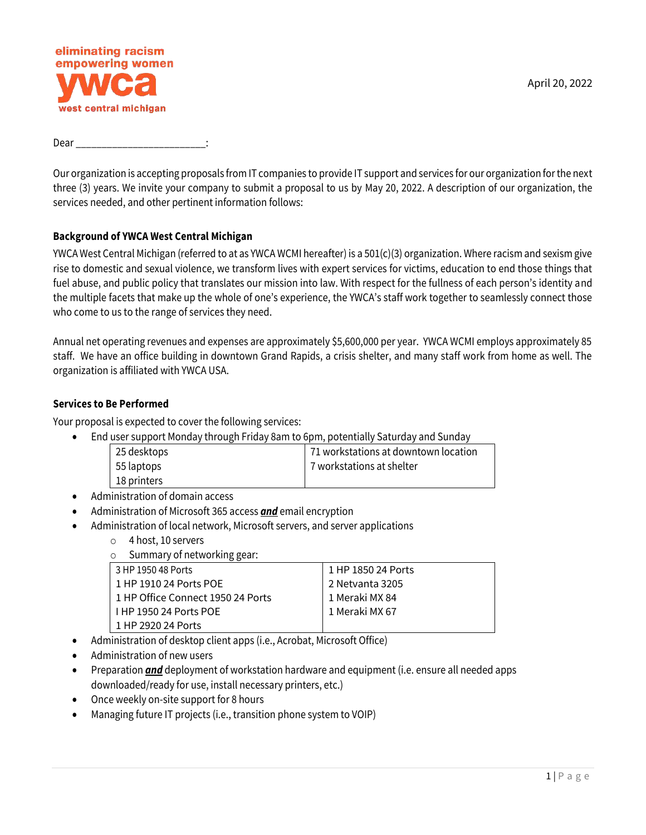

Dear

Our organization is accepting proposals from IT companies to provide IT support and services for our organization for the next three (3) years. We invite your company to submit a proposal to us by May 20, 2022. A description of our organization, the services needed, and other pertinent information follows:

#### **Background of YWCA West Central Michigan**

YWCA West Central Michigan (referred to at as YWCA WCMI hereafter) is a  $501(c)(3)$  organization. Where racism and sexism give rise to domestic and sexual violence, we transform lives with expert services for victims, education to end those things that fuel abuse, and public policy that translates our mission into law. With respect for the fullness of each person's identity and the multiple facets that make up the whole of one's experience, the YWCA's staff work together to seamlessly connect those who come to us to the range of services they need.

Annual net operating revenues and expenses are approximately \$5,600,000 per year. YWCA WCMI employs approximately 85 staff. We have an office building in downtown Grand Rapids, a crisis shelter, and many staff work from home as well. The organization is affiliated with YWCA USA.

#### **Services to Be Performed**

Your proposal is expected to cover the following services:

• End user support Monday through Friday 8am to 6pm, potentially Saturday and Sunday

| 25 desktops | 71 workstations at downtown location |
|-------------|--------------------------------------|
| 55 laptops  | 7 workstations at shelter            |
| 18 printers |                                      |

- Administration of domain access
- Administration of Microsoft 365 access *and* email encryption
- Administration of local network, Microsoft servers, and server applications
	- o 4 host, 10 servers

 $\circ$  Summary of networking gear:

| ັັ                                |                    |
|-----------------------------------|--------------------|
| 3 HP 1950 48 Ports                | 1 HP 1850 24 Ports |
| 1 HP 1910 24 Ports POE            | 2 Netvanta 3205    |
| 1 HP Office Connect 1950 24 Ports | 1 Meraki MX 84     |
| <b>THP 1950 24 Ports POE</b>      | 1 Meraki MX 67     |
| 1 HP 2920 24 Ports                |                    |

- Administration of desktop client apps (i.e., Acrobat, Microsoft Office)
- Administration of new users
- Preparation *and* deployment of workstation hardware and equipment (i.e. ensure all needed apps downloaded/ready for use, install necessary printers, etc.)
- Once weekly on-site support for 8 hours
- Managing future IT projects (i.e., transition phone system to VOIP)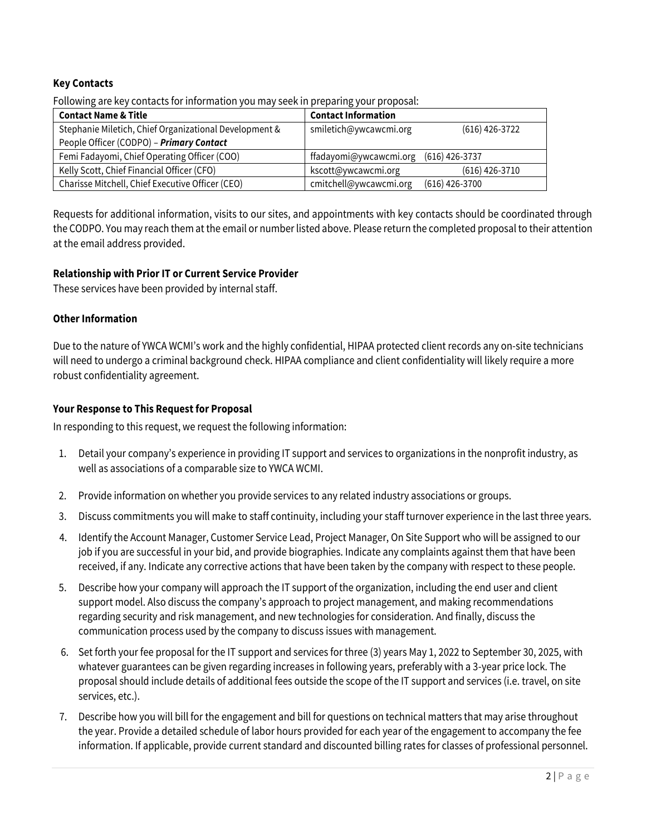# **Key Contacts**

Following are key contacts for information you may seek in preparing your proposal:

| <b>Contact Name &amp; Title</b>                        | <b>Contact Information</b>                 |
|--------------------------------------------------------|--------------------------------------------|
| Stephanie Miletich, Chief Organizational Development & | smiletich@ywcawcmi.org<br>$(616)$ 426-3722 |
| People Officer (CODPO) - Primary Contact               |                                            |
| Femi Fadayomi, Chief Operating Officer (COO)           | $(616)$ 426-3737<br>ffadayomi@ywcawcmi.org |
| Kelly Scott, Chief Financial Officer (CFO)             | $(616)$ 426-3710<br>kscott@ywcawcmi.org    |
| Charisse Mitchell, Chief Executive Officer (CEO)       | cmitchell@ywcawcmi.org<br>$(616)$ 426-3700 |

Requests for additional information, visits to our sites, and appointments with key contacts should be coordinated through the CODPO. You may reach them at the email or number listed above. Please return the completed proposal to their attention at the email address provided.

#### **Relationship with Prior IT or Current Service Provider**

These services have been provided by internal staff.

#### **Other Information**

Due to the nature of YWCA WCMI's work and the highly confidential, HIPAA protected client records any on-site technicians will need to undergo a criminal background check. HIPAA compliance and client confidentiality will likely require a more robust confidentiality agreement.

### **Your Response to This Request for Proposal**

In responding to this request, we request the following information:

- 1. Detail your company's experience in providing IT support and services to organizations in the nonprofit industry, as well as associations of a comparable size to YWCA WCMI.
- 2. Provide information on whether you provide services to any related industry associations or groups.
- 3. Discuss commitments you will make to staff continuity, including your staff turnover experience in the last three years.
- 4. Identify the Account Manager, Customer Service Lead, Project Manager, On Site Support who will be assigned to our job if you are successful in your bid, and provide biographies. Indicate any complaints against them that have been received, if any. Indicate any corrective actions that have been taken by the company with respect to these people.
- 5. Describe how your company will approach the IT support of the organization, including the end user and client support model. Also discuss the company's approach to project management, and making recommendations regarding security and risk management, and new technologies for consideration. And finally, discuss the communication process used by the company to discuss issues with management.
- 6. Set forth your fee proposal for the IT support and services for three (3) years May 1, 2022 to September 30, 2025, with whatever guarantees can be given regarding increases in following years, preferably with a 3-year price lock. The proposal should include details of additional fees outside the scope of the IT support and services (i.e. travel, on site services, etc.).
- 7. Describe how you will bill for the engagement and bill for questions on technical matters that may arise throughout the year. Provide a detailed schedule of labor hours provided for each year of the engagement to accompany the fee information. If applicable, provide current standard and discounted billing rates for classes of professional personnel.